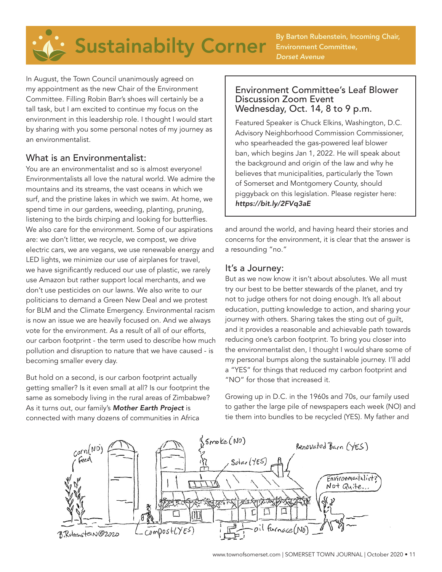By Barton Rubenstein, Incoming Chair, Environment Committee, *Dorset Avenue*

In August, the Town Council unanimously agreed on my appointment as the new Chair of the Environment Committee. Filling Robin Barr's shoes will certainly be a tall task, but I am excited to continue my focus on the environment in this leadership role. I thought I would start by sharing with you some personal notes of my journey as an environmentalist.

### What is an Environmentalist:

You are an environmentalist and so is almost everyone! Environmentalists all love the natural world. We admire the mountains and its streams, the vast oceans in which we surf, and the pristine lakes in which we swim. At home, we spend time in our gardens, weeding, planting, pruning, listening to the birds chirping and looking for butterflies. We also care for the environment. Some of our aspirations are: we don't litter, we recycle, we compost, we drive electric cars, we are vegans, we use renewable energy and LED lights, we minimize our use of airplanes for travel, we have significantly reduced our use of plastic, we rarely use Amazon but rather support local merchants, and we don't use pesticides on our lawns. We also write to our politicians to demand a Green New Deal and we protest for BLM and the Climate Emergency. Environmental racism is now an issue we are heavily focused on. And we always vote for the environment. As a result of all of our efforts, our carbon footprint - the term used to describe how much pollution and disruption to nature that we have caused - is becoming smaller every day.

But hold on a second, is our carbon footprint actually getting smaller? Is it even small at all? Is our footprint the same as somebody living in the rural areas of Zimbabwe? As it turns out, our family's *Mother Earth Project* is connected with many dozens of communities in Africa

#### Environment Committee's Leaf Blower Discussion Zoom Event Wednesday, Oct. 14, 8 to 9 p.m.

Featured Speaker is Chuck Elkins, Washington, D.C. Advisory Neighborhood Commission Commissioner, who spearheaded the gas-powered leaf blower ban, which begins Jan 1, 2022. He will speak about the background and origin of the law and why he believes that municipalities, particularly the Town of Somerset and Montgomery County, should piggyback on this legislation. Please register here: *https://bit.ly/2FVq3aE*

and around the world, and having heard their stories and concerns for the environment, it is clear that the answer is a resounding "no."

# It's a Journey:

But as we now know it isn't about absolutes. We all must try our best to be better stewards of the planet, and try not to judge others for not doing enough. It's all about education, putting knowledge to action, and sharing your journey with others. Sharing takes the sting out of guilt, and it provides a reasonable and achievable path towards reducing one's carbon footprint. To bring you closer into the environmentalist den, I thought I would share some of my personal bumps along the sustainable journey. I'll add a "YES" for things that reduced my carbon footprint and "NO" for those that increased it.

Growing up in D.C. in the 1960s and 70s, our family used to gather the large pile of newspapers each week (NO) and tie them into bundles to be recycled (YES). My father and